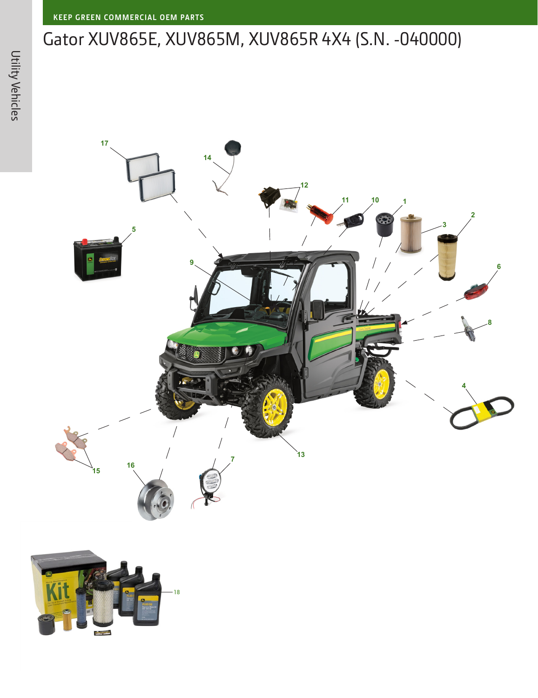## Gator XUV865E, XUV865M, XUV865R 4X4 (S.N. -040000)